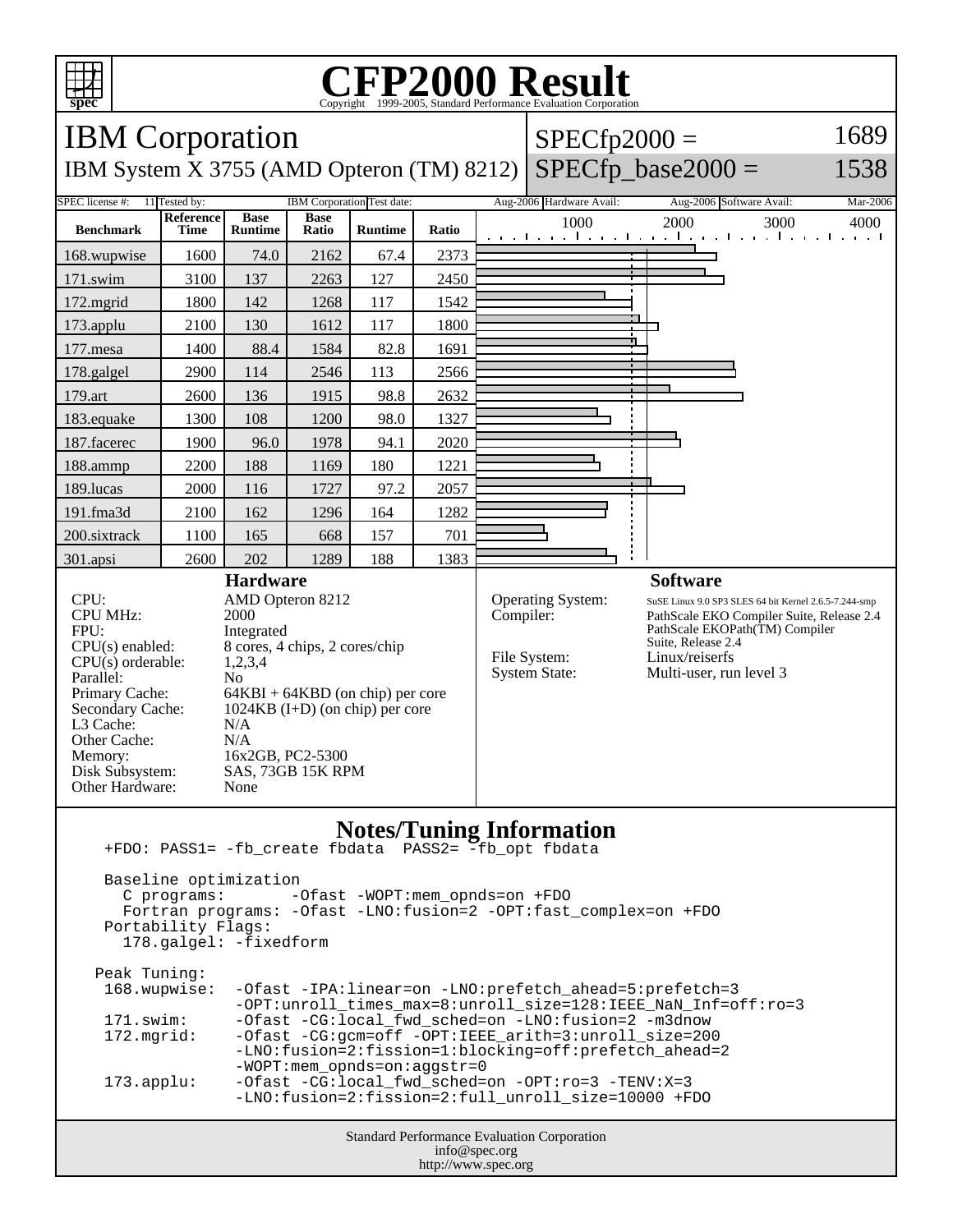

## C<sub>opyright</sub> ©1999-2005, Standard Performance Evaluation Corporation

| <b>IBM</b> Corporation                                                                                                                                                                                                                                                                                                                                                                                                                                                           |                          |                               |                      |                            |       |           | $SPECfp2000 =$                                            | 1689                                                                                                                                                                                                                       |  |
|----------------------------------------------------------------------------------------------------------------------------------------------------------------------------------------------------------------------------------------------------------------------------------------------------------------------------------------------------------------------------------------------------------------------------------------------------------------------------------|--------------------------|-------------------------------|----------------------|----------------------------|-------|-----------|-----------------------------------------------------------|----------------------------------------------------------------------------------------------------------------------------------------------------------------------------------------------------------------------------|--|
| $SPECfp\_base2000 =$<br>1538<br>IBM System X 3755 (AMD Opteron (TM) 8212)                                                                                                                                                                                                                                                                                                                                                                                                        |                          |                               |                      |                            |       |           |                                                           |                                                                                                                                                                                                                            |  |
| SPEC license #:                                                                                                                                                                                                                                                                                                                                                                                                                                                                  | 11 Tested by:            |                               |                      | IBM Corporation Test date: |       |           | Aug-2006 Hardware Avail:                                  | Aug-2006 Software Avail:<br>Mar-2006                                                                                                                                                                                       |  |
| <b>Benchmark</b>                                                                                                                                                                                                                                                                                                                                                                                                                                                                 | <b>Reference</b><br>Time | <b>Base</b><br><b>Runtime</b> | <b>Base</b><br>Ratio | <b>Runtime</b>             | Ratio |           | 1000                                                      | 2000<br>3000<br>4000<br>التعبيل بعيا بعيانية بالتعب التعبيلية بالتعبيلية                                                                                                                                                   |  |
| 168.wupwise                                                                                                                                                                                                                                                                                                                                                                                                                                                                      | 1600                     | 74.0                          | 2162                 | 67.4                       | 2373  |           |                                                           |                                                                                                                                                                                                                            |  |
| 171.swim                                                                                                                                                                                                                                                                                                                                                                                                                                                                         | 3100                     | 137                           | 2263                 | 127                        | 2450  |           |                                                           |                                                                                                                                                                                                                            |  |
| 172.mgrid                                                                                                                                                                                                                                                                                                                                                                                                                                                                        | 1800                     | 142                           | 1268                 | 117                        | 1542  |           |                                                           |                                                                                                                                                                                                                            |  |
| 173.applu                                                                                                                                                                                                                                                                                                                                                                                                                                                                        | 2100                     | 130                           | 1612                 | 117                        | 1800  |           |                                                           |                                                                                                                                                                                                                            |  |
| 177.mesa                                                                                                                                                                                                                                                                                                                                                                                                                                                                         | 1400                     | 88.4                          | 1584                 | 82.8                       | 1691  |           |                                                           |                                                                                                                                                                                                                            |  |
| 178.galgel                                                                                                                                                                                                                                                                                                                                                                                                                                                                       | 2900                     | 114                           | 2546                 | 113                        | 2566  |           |                                                           |                                                                                                                                                                                                                            |  |
| 179.art                                                                                                                                                                                                                                                                                                                                                                                                                                                                          | 2600                     | 136                           | 1915                 | 98.8                       | 2632  |           |                                                           |                                                                                                                                                                                                                            |  |
| 183.equake                                                                                                                                                                                                                                                                                                                                                                                                                                                                       | 1300                     | 108                           | 1200                 | 98.0                       | 1327  |           |                                                           |                                                                                                                                                                                                                            |  |
| 187.facerec                                                                                                                                                                                                                                                                                                                                                                                                                                                                      | 1900                     | 96.0                          | 1978                 | 94.1                       | 2020  |           |                                                           |                                                                                                                                                                                                                            |  |
| 188.ammp                                                                                                                                                                                                                                                                                                                                                                                                                                                                         | 2200                     | 188                           | 1169                 | 180                        | 1221  |           |                                                           |                                                                                                                                                                                                                            |  |
| 189.lucas                                                                                                                                                                                                                                                                                                                                                                                                                                                                        | 2000                     | 116                           | 1727                 | 97.2                       | 2057  |           |                                                           |                                                                                                                                                                                                                            |  |
| 191.fma3d                                                                                                                                                                                                                                                                                                                                                                                                                                                                        | 2100                     | 162                           | 1296                 | 164                        | 1282  |           |                                                           |                                                                                                                                                                                                                            |  |
| 200.sixtrack                                                                                                                                                                                                                                                                                                                                                                                                                                                                     | 1100                     | 165                           | 668                  | 157                        | 701   |           |                                                           |                                                                                                                                                                                                                            |  |
| 301.apsi                                                                                                                                                                                                                                                                                                                                                                                                                                                                         | 2600                     | 202                           | 1289                 | 188                        | 1383  |           |                                                           |                                                                                                                                                                                                                            |  |
| <b>Hardware</b><br>CPU:<br>AMD Opteron 8212<br><b>CPU MHz:</b><br>2000<br>FPU:<br>Integrated<br>CPU(s) enabled:<br>8 cores, 4 chips, 2 cores/chip<br>$CPU(s)$ orderable:<br>1,2,3,4<br>Parallel:<br>N <sub>0</sub><br>Primary Cache:<br>$64KBI + 64KBD$ (on chip) per core<br>$1024KB$ (I+D) (on chip) per core<br>Secondary Cache:<br>L3 Cache:<br>N/A<br>Other Cache:<br>N/A<br>16x2GB, PC2-5300<br>Memory:<br>Disk Subsystem:<br>SAS, 73GB 15K RPM<br>Other Hardware:<br>None |                          |                               |                      |                            |       | Compiler: | Operating System:<br>File System:<br><b>System State:</b> | <b>Software</b><br>SuSE Linux 9.0 SP3 SLES 64 bit Kernel 2.6.5-7.244-smp<br>PathScale EKO Compiler Suite, Release 2.4<br>PathScale EKOPath(TM) Compiler<br>Suite, Release 2.4<br>Linux/reiserfs<br>Multi-user, run level 3 |  |
| <b>Notes/Tuning Information</b><br>Baseline optimization<br>C programs:<br>-Ofast -WOPT:mem_opnds=on +FDO<br>Fortran programs: - Ofast -LNO: fusion=2 - OPT: fast_complex=on +FDO<br>Portability Flags:<br>178.galgel: -fixedform<br>Peak Tuning:                                                                                                                                                                                                                                |                          |                               |                      |                            |       |           |                                                           |                                                                                                                                                                                                                            |  |

```
-Ofast -CG:gcm=off -OPT:IEEE_arith=3:unroll_size=200
              -LNO:fusion=2:fission=1:blocking=off:prefetch_ahead=2
              -WOPT:mem_opnds=on:aggstr=0
173.applu: -Ofast -CG:local_fwd_sched=on -OPT:ro=3 -TENV:X=3
              -LNO:fusion=2:fission=2:full_unroll_size=10000 +FDO
```
Standard Performance Evaluation Corporation info@spec.org http://www.spec.org